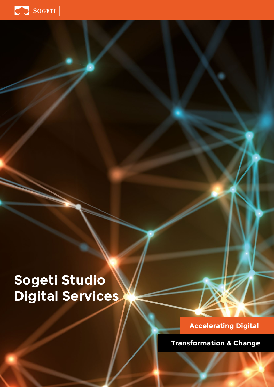

# **Sogeti Studio Digital Services**

# **Accelerating Digital**

**Transformation & Change**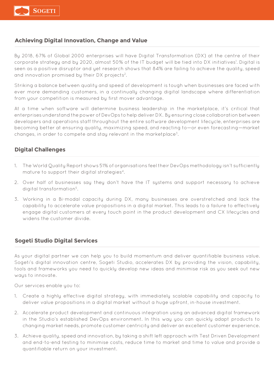

#### **Achieving Digital Innovation, Change and Value**

By 2018, 67% of Global 2000 enterprises will have Digital Transformation (DX) at the centre of their corporate strategy and by 2020, almost 50% of the IT budget will be tied into DX initiatives1 . Digital is seen as a positive disruptor and yet research shows that 84% are failing to achieve the quality, speed and innovation promised by their DX projects2.

Striking a balance between quality and speed of development is tough when businesses are faced with ever more demanding customers, in a continually changing digital landscape where differentiation from your competition is measured by first mover advantage.

At a time when software will determine business leadership in the marketplace, it's critical that enterprises understand the power of DevOps to help deliver DX. By ensuring close collaboration between developers and operations staff throughout the entire software development lifecycle, enterprises are becoming better at ensuring quality, maximizing speed, and reacting to—or even forecasting—market changes, in order to compete and stay relevant in the marketplace3.

#### **Digital Challenges**

- 1. The World Quality Report shows 51% of organisations feel their DevOps methodology isn't sufficiently mature to support their digital strategies4.
- 2. Over half of businesses say they don't have the IT systems and support necessary to achieve digital transformation<sup>5</sup>.
- 3. Working in a Bi-modal capacity during DX, many businesses are overstretched and lack the capability to accelerate value propositions in a digital market. This leads to a failure to effectively engage digital customers at every touch point in the product development and CX lifecycles and widens the customer divide.

#### **Sogeti Studio Digital Services**

As your digital partner we can help you to build momentum and deliver quantifiable business value. Sogeti's digital innovation centre, Sogeti Studio, accelerates DX by providing the vision, capability, tools and frameworks you need to quickly develop new ideas and minimise risk as you seek out new ways to innovate.

Our services enable you to:

- 1. Create a highly effective digital strategy, with immediately scalable capability and capacity to deliver value propositions in a digital market without a huge upfront, in-house investment.
- 2. Accelerate product development and continuous integration using an advanced digital framework in the Studio's established DevOps environment. In this way you can quickly adapt products to changing market needs, promote customer centricity and deliver an excellent customer experience.
- 3. Achieve quality, speed and innovation, by taking a shift left approach with Test Driven Development and end-to-end testing to minimise costs, reduce time to market and time to value and provide a quantifiable return on your investment.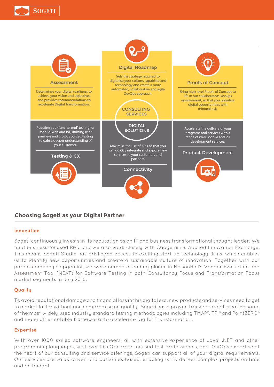



### **Choosing Sogeti as your Digital Partner**

#### **Innovation**

Sogeti continuously invests in its reputation as an IT and business transformational thought leader. We fund business-focused R&D and we also work closely with Capgemini's Applied Innovation Exchange. This means Sogeti Studio has privileged access to exciting start up technology firms, which enables us to identify new opportunities and create a sustainable culture of innovation. Together with our parent company Capgemini, we were named a leading player in NelsonHall's Vendor Evaluation and Assessment Tool (NEAT) for Software Testing in both Consultancy Focus and Transformation Focus market segments in July 2016.

#### **Quality**

To avoid reputational damage and financial loss in this digital era, new products and services need to get to market faster without any compromise on quality. Sogeti has a proven track record of creating some of the most widely used industry standard testing methodologies including TMAP®, TPI® and PointZERO® and many other notable frameworks to accelerate Digital Transformation.

#### **Expertise**

With over 1000 skilled software engineers, all with extensive experience of Java, .NET and other programming languages, well over 13,500 career focused test professionals, and DevOps expertise at the heart of our consulting and service offerings, Sogeti can support all of your digital requirements. Our services are value-driven and outcomes-based, enabling us to deliver complex projects on time and on budget.